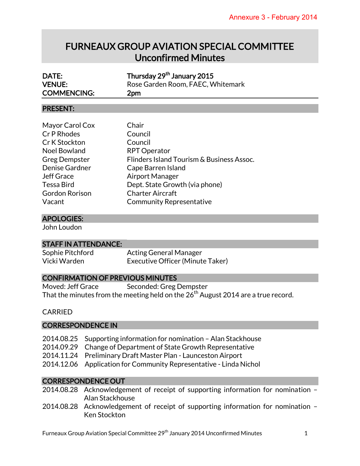# FURNEAUX GROUP AVIATION SPECIAL COMMITTEE Unconfirmed Minutes

| DATE:<br><b>VENUE:</b><br><b>COMMENCING:</b>                                                                                                                                                                                                                                            | Thursday 29 <sup>th</sup> January 2015<br>Rose Garden Room, FAEC, Whitemark<br>2pm                                                                                                                                                              |
|-----------------------------------------------------------------------------------------------------------------------------------------------------------------------------------------------------------------------------------------------------------------------------------------|-------------------------------------------------------------------------------------------------------------------------------------------------------------------------------------------------------------------------------------------------|
| <b>PRESENT:</b>                                                                                                                                                                                                                                                                         |                                                                                                                                                                                                                                                 |
| Mayor Carol Cox<br>Cr P Rhodes<br>Cr K Stockton<br><b>Noel Bowland</b><br><b>Greg Dempster</b><br>Denise Gardner<br><b>Jeff Grace</b><br>Tessa Bird<br>Gordon Rorison<br>Vacant                                                                                                         | Chair<br>Council<br>Council<br><b>RPT Operator</b><br>Flinders Island Tourism & Business Assoc.<br>Cape Barren Island<br><b>Airport Manager</b><br>Dept. State Growth (via phone)<br><b>Charter Aircraft</b><br><b>Community Representative</b> |
| <b>APOLOGIES:</b>                                                                                                                                                                                                                                                                       |                                                                                                                                                                                                                                                 |
| John Loudon                                                                                                                                                                                                                                                                             |                                                                                                                                                                                                                                                 |
| <b>STAFF IN ATTENDANCE:</b>                                                                                                                                                                                                                                                             |                                                                                                                                                                                                                                                 |
| Sophie Pitchford<br>Vicki Warden                                                                                                                                                                                                                                                        | <b>Acting General Manager</b><br>Executive Officer (Minute Taker)                                                                                                                                                                               |
| <b>CONFIRMATION OF PREVIOUS MINUTES</b>                                                                                                                                                                                                                                                 |                                                                                                                                                                                                                                                 |
| Moved: Jeff Grace<br>Seconded: Greg Dempster<br>That the minutes from the meeting held on the 26 $^{\rm th}$ August 2014 are a true record.<br><b>CARRIED</b>                                                                                                                           |                                                                                                                                                                                                                                                 |
| <b>CORRESPONDENCE IN</b>                                                                                                                                                                                                                                                                |                                                                                                                                                                                                                                                 |
| 2014.08.25<br>Supporting information for nomination - Alan Stackhouse<br>2014.09.29<br>Change of Department of State Growth Representative<br>2014.11.24<br>Preliminary Draft Master Plan - Launceston Airport<br>2014.12.06<br>Application for Community Representative - Linda Nichol |                                                                                                                                                                                                                                                 |
| <b>CORRESPONDENCE OUT</b>                                                                                                                                                                                                                                                               |                                                                                                                                                                                                                                                 |

- 2014.08.28 Acknowledgement of receipt of supporting information for nomination Alan Stackhouse
- 2014.08.28 Acknowledgement of receipt of supporting information for nomination Ken Stockton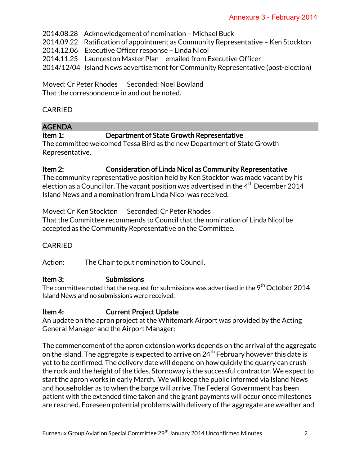2014.08.28 Acknowledgement of nomination – Michael Buck

2014.09.22 Ratification of appointment as Community Representative – Ken Stockton

2014.12.06 Executive Officer response – Linda Nicol

2014.11.25 Launceston Master Plan – emailed from Executive Officer

2014/12/04 Island News advertisement for Community Representative (post-election)

Moved: Cr Peter Rhodes Seconded: Noel Bowland That the correspondence in and out be noted.

#### CARRIED

## AGENDA

#### Item 1: Department of State Growth Representative

The committee welcomed Tessa Bird as the new Department of State Growth Representative.

#### Item 2: Consideration of Linda Nicol as Community Representative

The community representative position held by Ken Stockton was made vacant by his election as a Councillor. The vacant position was advertised in the  $4^{th}$  December 2014 Island News and a nomination from Linda Nicol was received.

Moved: Cr Ken Stockton Seconded: Cr Peter Rhodes

That the Committee recommends to Council that the nomination of Linda Nicol be accepted as the Community Representative on the Committee.

#### CARRIED

Action: The Chair to put nomination to Council.

#### Item 3: Submissions

The committee noted that the request for submissions was advertised in the  $9^{\rm th}$  October 2014 Island News and no submissions were received.

#### Item 4: Current Project Update

An update on the apron project at the Whitemark Airport was provided by the Acting General Manager and the Airport Manager:

The commencement of the apron extension works depends on the arrival of the aggregate on the island. The aggregate is expected to arrive on 24<sup>th</sup> February however this date is yet to be confirmed. The delivery date will depend on how quickly the quarry can crush the rock and the height of the tides. Stornoway is the successful contractor. We expect to start the apron works in early March. We will keep the public informed via Island News and householder as to when the barge will arrive. The Federal Government has been patient with the extended time taken and the grant payments will occur once milestones are reached. Foreseen potential problems with delivery of the aggregate are weather and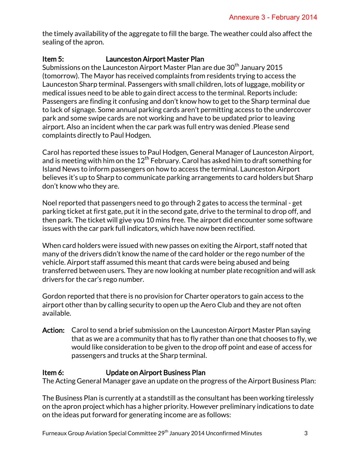the timely availability of the aggregate to fill the barge. The weather could also affect the sealing of the apron.

## Item 5: Launceston Airport Master Plan

Submissions on the Launceston Airport Master Plan are due 30<sup>th</sup> January 2015 (tomorrow). The Mayor has received complaints from residents trying to access the Launceston Sharp terminal. Passengers with small children, lots of luggage, mobility or medical issues need to be able to gain direct access to the terminal. Reports include: Passengers are finding it confusing and don't know how to get to the Sharp terminal due to lack of signage. Some annual parking cards aren't permitting access to the undercover park and some swipe cards are not working and have to be updated prior to leaving airport. Also an incident when the car park was full entry was denied .Please send complaints directly to Paul Hodgen.

Carol has reported these issues to Paul Hodgen, General Manager of Launceston Airport, and is meeting with him on the  $12<sup>th</sup>$  February. Carol has asked him to draft something for Island News to inform passengers on how to access the terminal. Launceston Airport believes it's up to Sharp to communicate parking arrangements to card holders but Sharp don't know who they are.

Noel reported that passengers need to go through 2 gates to access the terminal - get parking ticket at first gate, put it in the second gate, drive to the terminal to drop off, and then park. The ticket will give you 10 mins free. The airport did encounter some software issues with the car park full indicators, which have now been rectified.

When card holders were issued with new passes on exiting the Airport, staff noted that many of the drivers didn't know the name of the card holder or the rego number of the vehicle. Airport staff assumed this meant that cards were being abused and being transferred between users. They are now looking at number plate recognition and will ask drivers for the car's rego number.

Gordon reported that there is no provision for Charter operators to gain access to the airport other than by calling security to open up the Aero Club and they are not often available.

Action: Carol to send a brief submission on the Launceston Airport Master Plan saying that as we are a community that has to fly rather than one that chooses to fly, we would like consideration to be given to the drop off point and ease of access for passengers and trucks at the Sharp terminal.

## Item 6: Update on Airport Business Plan

The Acting General Manager gave an update on the progress of the Airport Business Plan:

The Business Plan is currently at a standstill as the consultant has been working tirelessly on the apron project which has a higher priority. However preliminary indications to date on the ideas put forward for generating income are as follows: